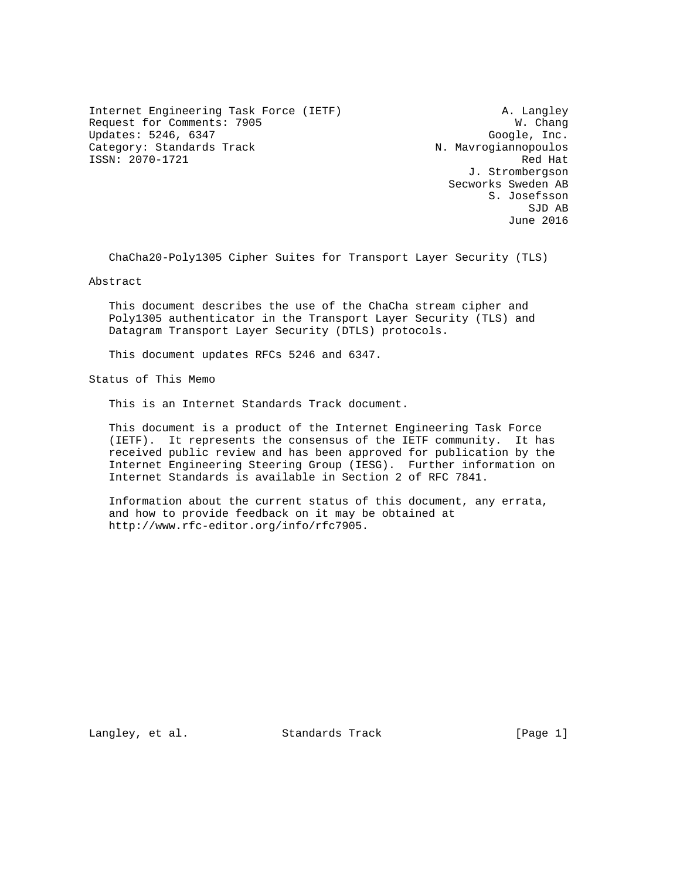Internet Engineering Task Force (IETF) A. Langley Request for Comments: 7905 W. Chang Updates: 5246, 6347 Google, Inc. Category: Standards Track N. Mavrogiannopoulos ISSN: 2070-1721 Red Hat

 J. Strombergson Secworks Sweden AB S. Josefsson SJD AB June 2016

ChaCha20-Poly1305 Cipher Suites for Transport Layer Security (TLS)

Abstract

 This document describes the use of the ChaCha stream cipher and Poly1305 authenticator in the Transport Layer Security (TLS) and Datagram Transport Layer Security (DTLS) protocols.

This document updates RFCs 5246 and 6347.

Status of This Memo

This is an Internet Standards Track document.

 This document is a product of the Internet Engineering Task Force (IETF). It represents the consensus of the IETF community. It has received public review and has been approved for publication by the Internet Engineering Steering Group (IESG). Further information on Internet Standards is available in Section 2 of RFC 7841.

 Information about the current status of this document, any errata, and how to provide feedback on it may be obtained at http://www.rfc-editor.org/info/rfc7905.

Langley, et al. Standards Track [Page 1]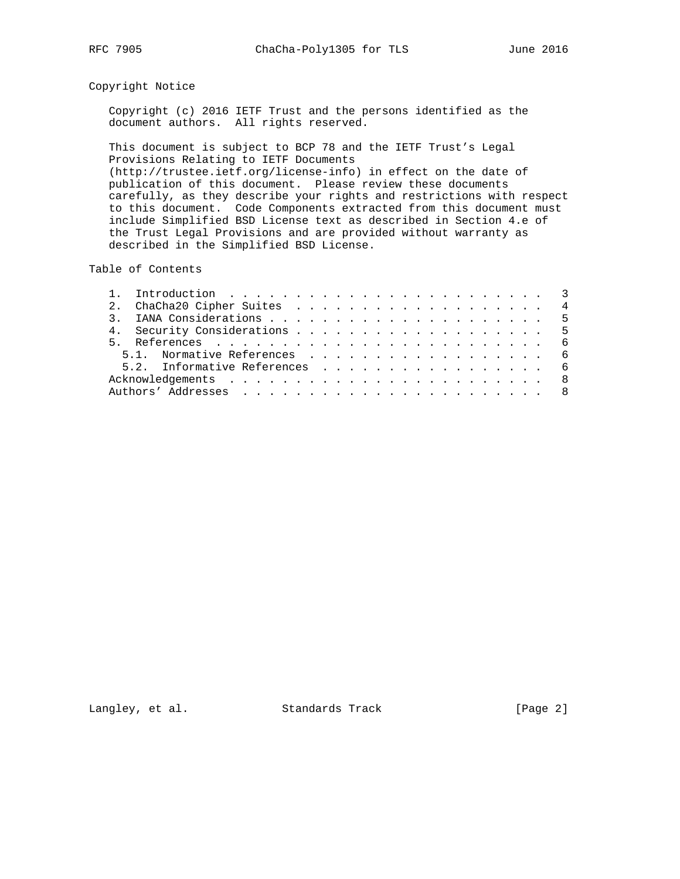# Copyright Notice

 Copyright (c) 2016 IETF Trust and the persons identified as the document authors. All rights reserved.

 This document is subject to BCP 78 and the IETF Trust's Legal Provisions Relating to IETF Documents (http://trustee.ietf.org/license-info) in effect on the date of publication of this document. Please review these documents carefully, as they describe your rights and restrictions with respect to this document. Code Components extracted from this document must include Simplified BSD License text as described in Section 4.e of the Trust Legal Provisions and are provided without warranty as described in the Simplified BSD License.

Table of Contents

|  | 2. ChaCha20 Cipher Suites 4   |  |
|--|-------------------------------|--|
|  |                               |  |
|  |                               |  |
|  |                               |  |
|  | 5.1. Normative References 6   |  |
|  | 5.2. Informative References 6 |  |
|  |                               |  |
|  |                               |  |
|  |                               |  |

Langley, et al. Standards Track [Page 2]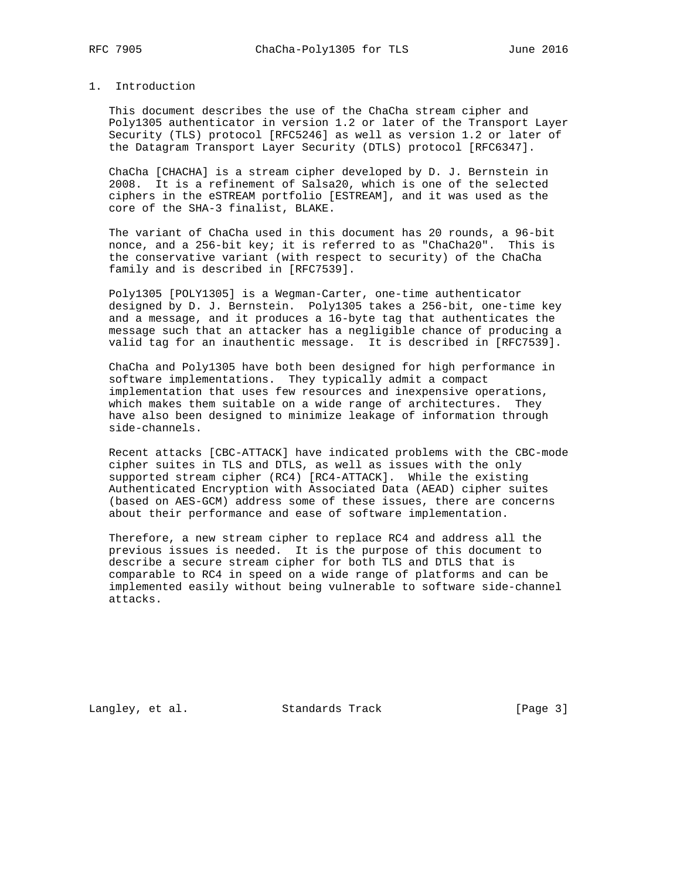# 1. Introduction

 This document describes the use of the ChaCha stream cipher and Poly1305 authenticator in version 1.2 or later of the Transport Layer Security (TLS) protocol [RFC5246] as well as version 1.2 or later of the Datagram Transport Layer Security (DTLS) protocol [RFC6347].

 ChaCha [CHACHA] is a stream cipher developed by D. J. Bernstein in 2008. It is a refinement of Salsa20, which is one of the selected ciphers in the eSTREAM portfolio [ESTREAM], and it was used as the core of the SHA-3 finalist, BLAKE.

 The variant of ChaCha used in this document has 20 rounds, a 96-bit nonce, and a 256-bit key; it is referred to as "ChaCha20". This is the conservative variant (with respect to security) of the ChaCha family and is described in [RFC7539].

 Poly1305 [POLY1305] is a Wegman-Carter, one-time authenticator designed by D. J. Bernstein. Poly1305 takes a 256-bit, one-time key and a message, and it produces a 16-byte tag that authenticates the message such that an attacker has a negligible chance of producing a valid tag for an inauthentic message. It is described in [RFC7539].

 ChaCha and Poly1305 have both been designed for high performance in software implementations. They typically admit a compact implementation that uses few resources and inexpensive operations, which makes them suitable on a wide range of architectures. They have also been designed to minimize leakage of information through side-channels.

 Recent attacks [CBC-ATTACK] have indicated problems with the CBC-mode cipher suites in TLS and DTLS, as well as issues with the only supported stream cipher (RC4) [RC4-ATTACK]. While the existing Authenticated Encryption with Associated Data (AEAD) cipher suites (based on AES-GCM) address some of these issues, there are concerns about their performance and ease of software implementation.

 Therefore, a new stream cipher to replace RC4 and address all the previous issues is needed. It is the purpose of this document to describe a secure stream cipher for both TLS and DTLS that is comparable to RC4 in speed on a wide range of platforms and can be implemented easily without being vulnerable to software side-channel attacks.

Langley, et al. Standards Track [Page 3]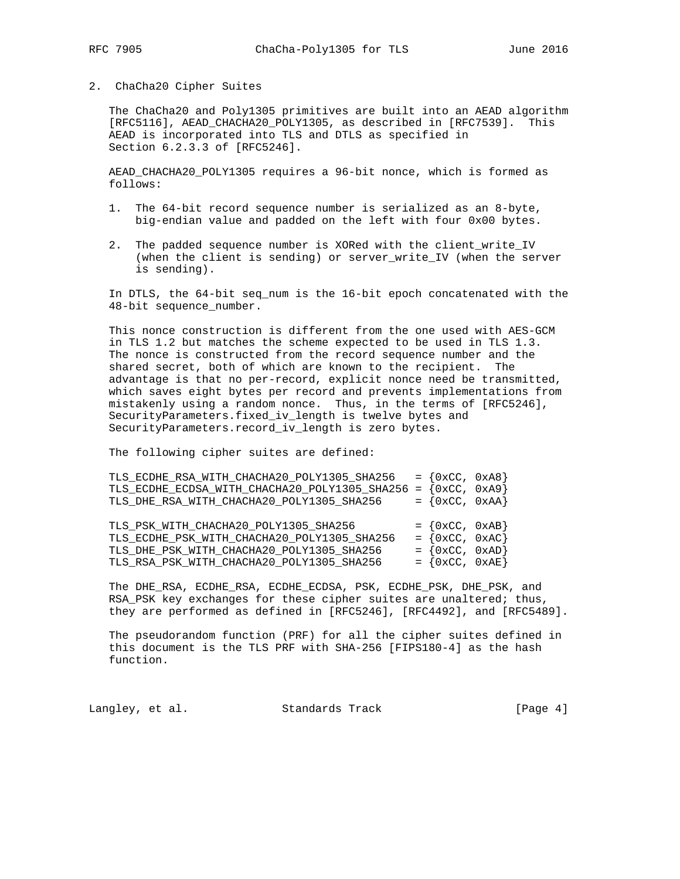## 2. ChaCha20 Cipher Suites

 The ChaCha20 and Poly1305 primitives are built into an AEAD algorithm [RFC5116], AEAD\_CHACHA20\_POLY1305, as described in [RFC7539]. This AEAD is incorporated into TLS and DTLS as specified in Section 6.2.3.3 of [RFC5246].

 AEAD\_CHACHA20\_POLY1305 requires a 96-bit nonce, which is formed as follows:

- 1. The 64-bit record sequence number is serialized as an 8-byte, big-endian value and padded on the left with four 0x00 bytes.
- 2. The padded sequence number is XORed with the client\_write\_IV (when the client is sending) or server\_write\_IV (when the server is sending).

 In DTLS, the 64-bit seq\_num is the 16-bit epoch concatenated with the 48-bit sequence\_number.

 This nonce construction is different from the one used with AES-GCM in TLS 1.2 but matches the scheme expected to be used in TLS 1.3. The nonce is constructed from the record sequence number and the shared secret, both of which are known to the recipient. The advantage is that no per-record, explicit nonce need be transmitted, which saves eight bytes per record and prevents implementations from mistakenly using a random nonce. Thus, in the terms of [RFC5246], SecurityParameters.fixed\_iv\_length is twelve bytes and SecurityParameters.record\_iv\_length is zero bytes.

The following cipher suites are defined:

| TLS_ECDHE_RSA_WITH_CHACHA20_POLY1305_SHA256                           | $= \{0xCC, 0xA8\}$               |  |
|-----------------------------------------------------------------------|----------------------------------|--|
| TLS_ECDHE_ECDSA_WITH_CHACHA20_POLY1305_SHA256 = ${0 \times C$ , 0xA9} |                                  |  |
| TLS_DHE_RSA_WITH_CHACHA20_POLY1305_SHA256                             | $= \{0 \times CC, 0 \times AA\}$ |  |
|                                                                       |                                  |  |
| TLS_PSK_WITH_CHACHA20_POLY1305_SHA256                                 | $= \{0 \times CC, 0 \times AB\}$ |  |
| TLS_ECDHE_PSK_WITH_CHACHA20_POLY1305_SHA256                           | $= \{0 \times CC, 0 \times AC\}$ |  |
| TLS DHE PSK WITH CHACHA20 POLY1305 SHA256                             | $= \{0 \times CC, 0 \times AD\}$ |  |
| TLS_RSA_PSK_WITH_CHACHA20_POLY1305_SHA256                             | $= \{0 \times CC, 0 \times AE\}$ |  |

 The DHE\_RSA, ECDHE\_RSA, ECDHE\_ECDSA, PSK, ECDHE\_PSK, DHE\_PSK, and RSA\_PSK key exchanges for these cipher suites are unaltered; thus, they are performed as defined in [RFC5246], [RFC4492], and [RFC5489].

 The pseudorandom function (PRF) for all the cipher suites defined in this document is the TLS PRF with SHA-256 [FIPS180-4] as the hash function.

Langley, et al. Standards Track [Page 4]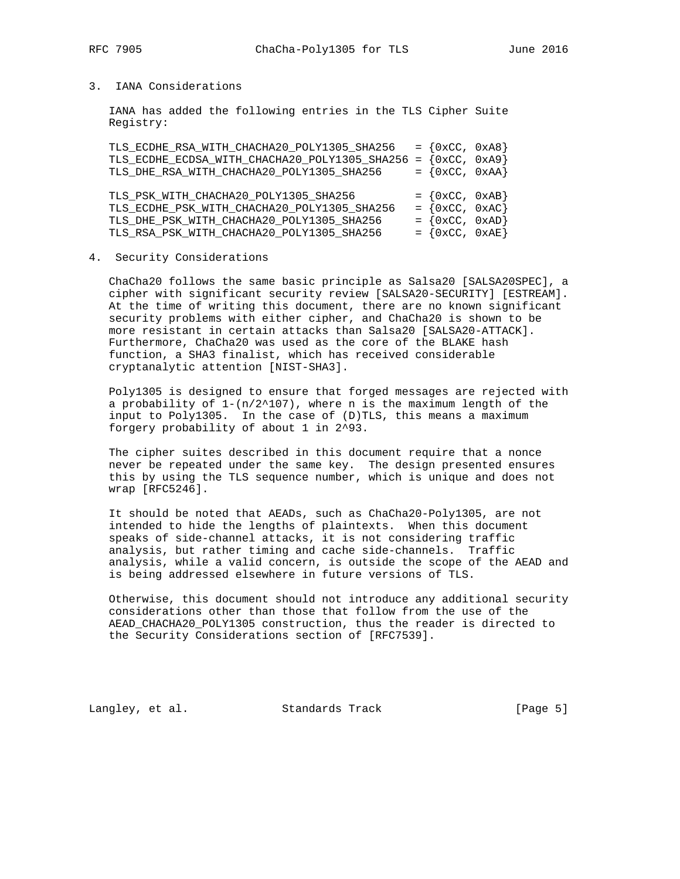# 3. IANA Considerations

 IANA has added the following entries in the TLS Cipher Suite Registry:

| TLS_ECDHE_RSA_WITH_CHACHA20_POLY1305_SHA256 |                                  |                                                                                                                                                                          |
|---------------------------------------------|----------------------------------|--------------------------------------------------------------------------------------------------------------------------------------------------------------------------|
|                                             |                                  |                                                                                                                                                                          |
| TLS_DHE_RSA_WITH_CHACHA20_POLY1305_SHA256   |                                  |                                                                                                                                                                          |
|                                             |                                  |                                                                                                                                                                          |
| TLS PSK WITH CHACHA20 POLY1305 SHA256       |                                  |                                                                                                                                                                          |
|                                             |                                  |                                                                                                                                                                          |
| TLS_ECDHE_PSK_WITH_CHACHA20_POLY1305_SHA256 | $= \{0 \times CC, 0 \times AC\}$ |                                                                                                                                                                          |
| TLS_DHE_PSK_WITH_CHACHA20_POLY1305_SHA256   | $= \{0 \times CC, 0 \times AD\}$ |                                                                                                                                                                          |
|                                             |                                  | $= \{0 \times CC, 0 \times A8\}$<br>TLS_ECDHE_ECDSA_WITH_CHACHA20_POLY1305_SHA256 = {0xCC, 0xA9}<br>$= \{0 \times CC, 0 \times AA\}$<br>$= \{0 \times CC, 0 \times AB\}$ |

### 4. Security Considerations

 ChaCha20 follows the same basic principle as Salsa20 [SALSA20SPEC], a cipher with significant security review [SALSA20-SECURITY] [ESTREAM]. At the time of writing this document, there are no known significant security problems with either cipher, and ChaCha20 is shown to be more resistant in certain attacks than Salsa20 [SALSA20-ATTACK]. Furthermore, ChaCha20 was used as the core of the BLAKE hash function, a SHA3 finalist, which has received considerable cryptanalytic attention [NIST-SHA3].

 Poly1305 is designed to ensure that forged messages are rejected with a probability of  $1-(n/2^{\lambda}107)$ , where n is the maximum length of the input to Poly1305. In the case of (D)TLS, this means a maximum forgery probability of about 1 in 2^93.

 The cipher suites described in this document require that a nonce never be repeated under the same key. The design presented ensures this by using the TLS sequence number, which is unique and does not wrap [RFC5246].

 It should be noted that AEADs, such as ChaCha20-Poly1305, are not intended to hide the lengths of plaintexts. When this document speaks of side-channel attacks, it is not considering traffic analysis, but rather timing and cache side-channels. Traffic analysis, while a valid concern, is outside the scope of the AEAD and is being addressed elsewhere in future versions of TLS.

 Otherwise, this document should not introduce any additional security considerations other than those that follow from the use of the AEAD\_CHACHA20\_POLY1305 construction, thus the reader is directed to the Security Considerations section of [RFC7539].

Langley, et al. Standards Track [Page 5]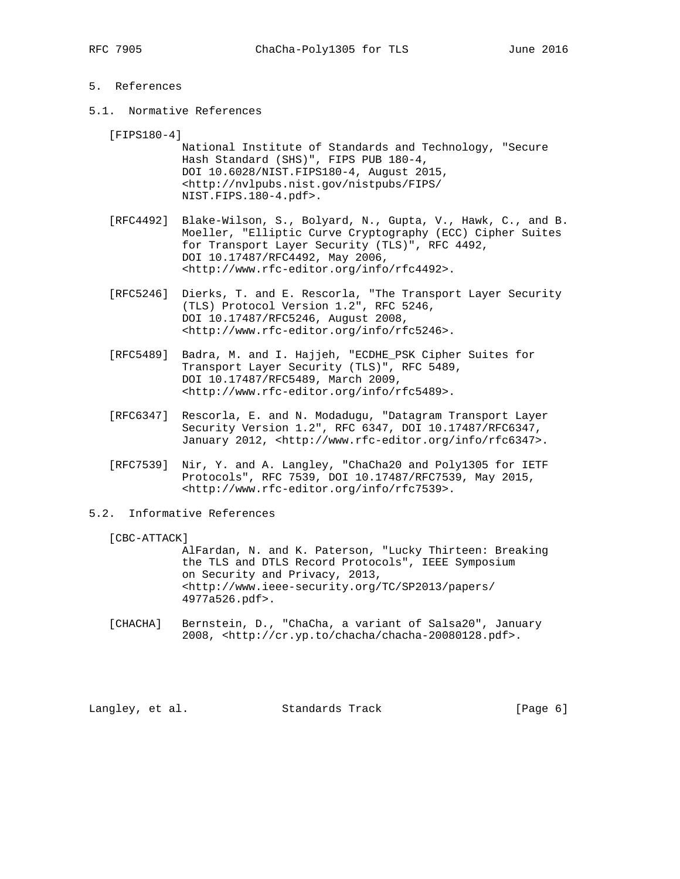# 5. References

5.1. Normative References

[FIPS180-4]

 National Institute of Standards and Technology, "Secure Hash Standard (SHS)", FIPS PUB 180-4, DOI 10.6028/NIST.FIPS180-4, August 2015, <http://nvlpubs.nist.gov/nistpubs/FIPS/ NIST.FIPS.180-4.pdf>.

 [RFC4492] Blake-Wilson, S., Bolyard, N., Gupta, V., Hawk, C., and B. Moeller, "Elliptic Curve Cryptography (ECC) Cipher Suites for Transport Layer Security (TLS)", RFC 4492, DOI 10.17487/RFC4492, May 2006, <http://www.rfc-editor.org/info/rfc4492>.

- [RFC5246] Dierks, T. and E. Rescorla, "The Transport Layer Security (TLS) Protocol Version 1.2", RFC 5246, DOI 10.17487/RFC5246, August 2008, <http://www.rfc-editor.org/info/rfc5246>.
- [RFC5489] Badra, M. and I. Hajjeh, "ECDHE\_PSK Cipher Suites for Transport Layer Security (TLS)", RFC 5489, DOI 10.17487/RFC5489, March 2009, <http://www.rfc-editor.org/info/rfc5489>.
- [RFC6347] Rescorla, E. and N. Modadugu, "Datagram Transport Layer Security Version 1.2", RFC 6347, DOI 10.17487/RFC6347, January 2012, <http://www.rfc-editor.org/info/rfc6347>.
- [RFC7539] Nir, Y. and A. Langley, "ChaCha20 and Poly1305 for IETF Protocols", RFC 7539, DOI 10.17487/RFC7539, May 2015, <http://www.rfc-editor.org/info/rfc7539>.
- 5.2. Informative References

[CBC-ATTACK]

 AlFardan, N. and K. Paterson, "Lucky Thirteen: Breaking the TLS and DTLS Record Protocols", IEEE Symposium on Security and Privacy, 2013, <http://www.ieee-security.org/TC/SP2013/papers/ 4977a526.pdf>.

 [CHACHA] Bernstein, D., "ChaCha, a variant of Salsa20", January 2008, <http://cr.yp.to/chacha/chacha-20080128.pdf>.

Langley, et al. Standards Track [Page 6]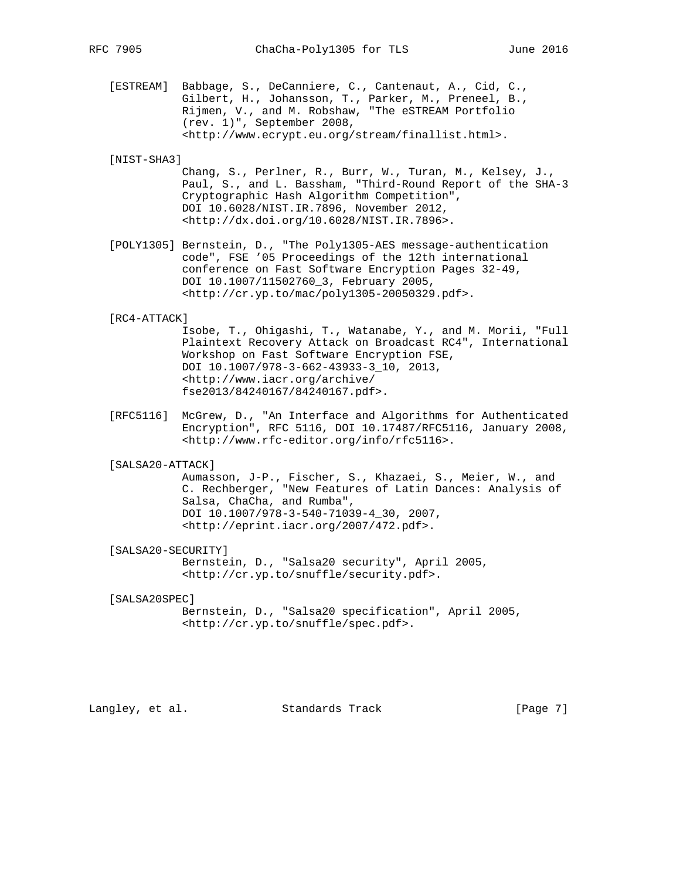[ESTREAM] Babbage, S., DeCanniere, C., Cantenaut, A., Cid, C., Gilbert, H., Johansson, T., Parker, M., Preneel, B., Rijmen, V., and M. Robshaw, "The eSTREAM Portfolio (rev. 1)", September 2008, <http://www.ecrypt.eu.org/stream/finallist.html>.

## [NIST-SHA3]

- Chang, S., Perlner, R., Burr, W., Turan, M., Kelsey, J., Paul, S., and L. Bassham, "Third-Round Report of the SHA-3 Cryptographic Hash Algorithm Competition", DOI 10.6028/NIST.IR.7896, November 2012, <http://dx.doi.org/10.6028/NIST.IR.7896>.
- [POLY1305] Bernstein, D., "The Poly1305-AES message-authentication code", FSE '05 Proceedings of the 12th international conference on Fast Software Encryption Pages 32-49, DOI 10.1007/11502760\_3, February 2005, <http://cr.yp.to/mac/poly1305-20050329.pdf>.

#### [RC4-ATTACK]

 Isobe, T., Ohigashi, T., Watanabe, Y., and M. Morii, "Full Plaintext Recovery Attack on Broadcast RC4", International Workshop on Fast Software Encryption FSE, DOI 10.1007/978-3-662-43933-3\_10, 2013, <http://www.iacr.org/archive/ fse2013/84240167/84240167.pdf>.

 [RFC5116] McGrew, D., "An Interface and Algorithms for Authenticated Encryption", RFC 5116, DOI 10.17487/RFC5116, January 2008, <http://www.rfc-editor.org/info/rfc5116>.

#### [SALSA20-ATTACK]

 Aumasson, J-P., Fischer, S., Khazaei, S., Meier, W., and C. Rechberger, "New Features of Latin Dances: Analysis of Salsa, ChaCha, and Rumba", DOI 10.1007/978-3-540-71039-4\_30, 2007, <http://eprint.iacr.org/2007/472.pdf>.

#### [SALSA20-SECURITY]

 Bernstein, D., "Salsa20 security", April 2005, <http://cr.yp.to/snuffle/security.pdf>.

#### [SALSA20SPEC]

 Bernstein, D., "Salsa20 specification", April 2005, <http://cr.yp.to/snuffle/spec.pdf>.

Langley, et al. Standards Track [Page 7]